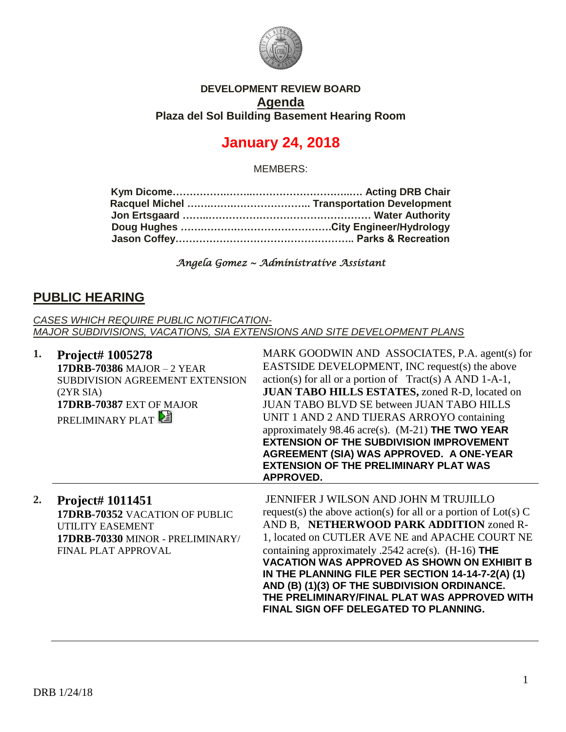

### **DEVELOPMENT REVIEW BOARD Agenda Plaza del Sol Building Basement Hearing Room**

# **January 24, 2018**

MEMBERS:

*Angela Gomez ~ Administrative Assistant* 

# **PUBLIC HEARING**

*CASES WHICH REQUIRE PUBLIC NOTIFICATION-MAJOR SUBDIVISIONS, VACATIONS, SIA EXTENSIONS AND SITE DEVELOPMENT PLANS*

| 1. | <b>Project# 1005278</b><br><b>17DRB-70386 MAJOR - 2 YEAR</b><br>SUBDIVISION AGREEMENT EXTENSION<br>(2YR SIA)<br>17DRB-70387 EXT OF MAJOR<br><b>PRELIMINARY PLAT</b> | MARK GOODWIN AND ASSOCIATES, P.A. agent(s) for<br>EASTSIDE DEVELOPMENT, INC request(s) the above<br>$action(s)$ for all or a portion of Tract(s) A AND 1-A-1,<br>JUAN TABO HILLS ESTATES, zoned R-D, located on<br><b>JUAN TABO BLVD SE between JUAN TABO HILLS</b><br>UNIT 1 AND 2 AND TIJERAS ARROYO containing<br>approximately 98.46 acre(s). $(M-21)$ THE TWO YEAR<br><b>EXTENSION OF THE SUBDIVISION IMPROVEMENT</b><br>AGREEMENT (SIA) WAS APPROVED. A ONE-YEAR<br><b>EXTENSION OF THE PRELIMINARY PLAT WAS</b><br><b>APPROVED.</b> |
|----|---------------------------------------------------------------------------------------------------------------------------------------------------------------------|--------------------------------------------------------------------------------------------------------------------------------------------------------------------------------------------------------------------------------------------------------------------------------------------------------------------------------------------------------------------------------------------------------------------------------------------------------------------------------------------------------------------------------------------|
| 2. | <b>Project# 1011451</b><br>17DRB-70352 VACATION OF PUBLIC<br>UTILITY EASEMENT<br>17DRB-70330 MINOR - PRELIMINARY/<br>FINAL PLAT APPROVAL                            | JENNIFER J WILSON AND JOHN M TRUJILLO<br>request(s) the above action(s) for all or a portion of $Lot(s)$ C<br>AND B, NETHERWOOD PARK ADDITION zoned R-<br>1, located on CUTLER AVE NE and APACHE COURT NE<br>containing approximately .2542 acre(s). $(H-16)$ THE<br><b>VACATION WAS APPROVED AS SHOWN ON EXHIBIT B</b><br>IN THE PLANNING FILE PER SECTION 14-14-7-2(A) (1)<br>AND (B) (1)(3) OF THE SUBDIVISION ORDINANCE.<br>THE PRELIMINARY/FINAL PLAT WAS APPROVED WITH<br><b>FINAL SIGN OFF DELEGATED TO PLANNING.</b>               |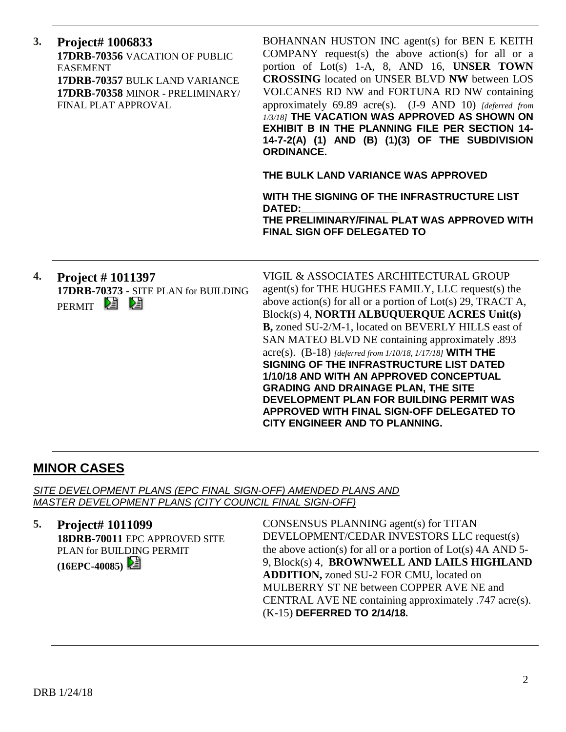| 3. | Project# 1006833<br>17DRB-70356 VACATION OF PUBLIC<br><b>EASEMENT</b><br>17DRB-70357 BULK LAND VARIANCE<br>17DRB-70358 MINOR - PRELIMINARY/<br>FINAL PLAT APPROVAL | BOHANNAN HUSTON INC agent(s) for BEN E KEITH<br>COMPANY request(s) the above action(s) for all or a<br>portion of Lot(s) 1-A, 8, AND 16, UNSER TOWN<br><b>CROSSING</b> located on UNSER BLVD NW between LOS<br>VOLCANES RD NW and FORTUNA RD NW containing<br>approximately 69.89 acre(s). (J-9 AND 10) [deferred from<br>1/3/18] THE VACATION WAS APPROVED AS SHOWN ON<br><b>EXHIBIT B IN THE PLANNING FILE PER SECTION 14-</b><br>14-7-2(A) (1) AND (B) (1)(3) OF THE SUBDIVISION<br><b>ORDINANCE.</b><br>THE BULK LAND VARIANCE WAS APPROVED<br>WITH THE SIGNING OF THE INFRASTRUCTURE LIST<br><b>DATED:</b><br>THE PRELIMINARY/FINAL PLAT WAS APPROVED WITH<br><b>FINAL SIGN OFF DELEGATED TO</b> |
|----|--------------------------------------------------------------------------------------------------------------------------------------------------------------------|-------------------------------------------------------------------------------------------------------------------------------------------------------------------------------------------------------------------------------------------------------------------------------------------------------------------------------------------------------------------------------------------------------------------------------------------------------------------------------------------------------------------------------------------------------------------------------------------------------------------------------------------------------------------------------------------------------|
| 4. | <b>Project #1011397</b><br>17DRB-70373 - SITE PLAN for BUILDING<br>PERMIT <sup>2</sup>                                                                             | VIGIL & ASSOCIATES ARCHITECTURAL GROUP<br>agent(s) for THE HUGHES FAMILY, LLC request(s) the<br>above action(s) for all or a portion of $Lot(s)$ 29, TRACT A,<br>Block(s) 4, NORTH ALBUQUERQUE ACRES Unit(s)<br>B, zoned SU-2/M-1, located on BEVERLY HILLS east of<br>SAN MATEO BLVD NE containing approximately .893<br>acre(s). $(B-18)$ [deferred from 1/10/18, 1/17/18] WITH THE<br>SIGNING OF THE INFRASTRUCTURE LIST DATED<br>1/10/18 AND WITH AN APPROVED CONCEPTUAL<br><b>GRADING AND DRAINAGE PLAN, THE SITE</b><br>DEVELOPMENT PLAN FOR BUILDING PERMIT WAS<br>APPROVED WITH FINAL SIGN-OFF DELEGATED TO<br>CITY ENGINEER AND TO PLANNING.                                                 |

# **MINOR CASES**

*SITE DEVELOPMENT PLANS (EPC FINAL SIGN-OFF) AMENDED PLANS AND MASTER DEVELOPMENT PLANS (CITY COUNCIL FINAL SIGN-OFF)*

#### **5. Project# 1011099**

**18DRB-70011** EPC APPROVED SITE PLAN for BUILDING PERMIT **(16EPC-40085)** 

CONSENSUS PLANNING agent(s) for TITAN DEVELOPMENT/CEDAR INVESTORS LLC request(s) the above action(s) for all or a portion of  $Lot(s)$  4A AND 5-9, Block(s) 4, **BROWNWELL AND LAILS HIGHLAND ADDITION,** zoned SU-2 FOR CMU, located on MULBERRY ST NE between COPPER AVE NE and CENTRAL AVE NE containing approximately .747 acre(s). (K-15) **DEFERRED TO 2/14/18.**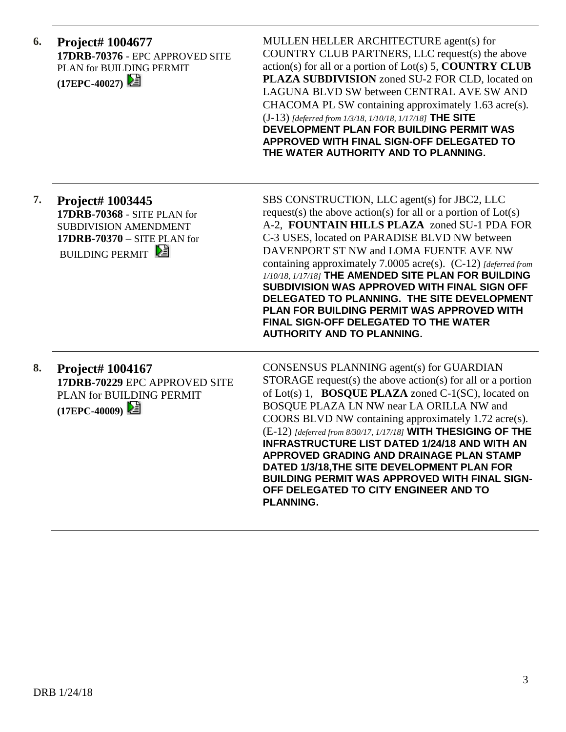| 6. | <b>Project# 1004677</b><br>17DRB-70376 - EPC APPROVED SITE<br>PLAN for BUILDING PERMIT<br>(17EPC-40027)                                           | MULLEN HELLER ARCHITECTURE agent(s) for<br>COUNTRY CLUB PARTNERS, LLC request(s) the above<br>$action(s)$ for all or a portion of $Lot(s)$ 5, <b>COUNTRY CLUB</b><br>PLAZA SUBDIVISION zoned SU-2 FOR CLD, located on<br>LAGUNA BLVD SW between CENTRAL AVE SW AND<br>CHACOMA PL SW containing approximately 1.63 acre(s).<br>$(J-13)$ [deferred from 1/3/18, 1/10/18, 1/17/18] THE SITE<br>DEVELOPMENT PLAN FOR BUILDING PERMIT WAS<br>APPROVED WITH FINAL SIGN-OFF DELEGATED TO<br>THE WATER AUTHORITY AND TO PLANNING.                                                                                            |
|----|---------------------------------------------------------------------------------------------------------------------------------------------------|----------------------------------------------------------------------------------------------------------------------------------------------------------------------------------------------------------------------------------------------------------------------------------------------------------------------------------------------------------------------------------------------------------------------------------------------------------------------------------------------------------------------------------------------------------------------------------------------------------------------|
| 7. | <b>Project# 1003445</b><br>17DRB-70368 - SITE PLAN for<br><b>SUBDIVISION AMENDMENT</b><br>$17DRB-70370 - SITE PLAN for$<br><b>BUILDING PERMIT</b> | SBS CONSTRUCTION, LLC agent(s) for JBC2, LLC<br>request(s) the above action(s) for all or a portion of $Lot(s)$<br>A-2, FOUNTAIN HILLS PLAZA zoned SU-1 PDA FOR<br>C-3 USES, located on PARADISE BLVD NW between<br>DAVENPORT ST NW and LOMA FUENTE AVE NW<br>containing approximately 7.0005 acre(s). (C-12) [deferred from<br>1/10/18, 1/17/18] THE AMENDED SITE PLAN FOR BUILDING<br>SUBDIVISION WAS APPROVED WITH FINAL SIGN OFF<br>DELEGATED TO PLANNING. THE SITE DEVELOPMENT<br>PLAN FOR BUILDING PERMIT WAS APPROVED WITH<br>FINAL SIGN-OFF DELEGATED TO THE WATER<br><b>AUTHORITY AND TO PLANNING.</b>      |
| 8. | Project# 1004167<br>17DRB-70229 EPC APPROVED SITE<br>PLAN for BUILDING PERMIT<br>(17EPC-40009)                                                    | CONSENSUS PLANNING agent(s) for GUARDIAN<br>$STORAGE$ request(s) the above action(s) for all or a portion<br>of Lot(s) 1, <b>BOSQUE PLAZA</b> zoned C-1(SC), located on<br>BOSQUE PLAZA LN NW near LA ORILLA NW and<br>COORS BLVD NW containing approximately 1.72 acre(s).<br>(E-12) [deferred from 8/30/17, 1/17/18] WITH THESIGING OF THE<br><b>INFRASTRUCTURE LIST DATED 1/24/18 AND WITH AN</b><br>APPROVED GRADING AND DRAINAGE PLAN STAMP<br>DATED 1/3/18, THE SITE DEVELOPMENT PLAN FOR<br><b>BUILDING PERMIT WAS APPROVED WITH FINAL SIGN-</b><br>OFF DELEGATED TO CITY ENGINEER AND TO<br><b>PLANNING.</b> |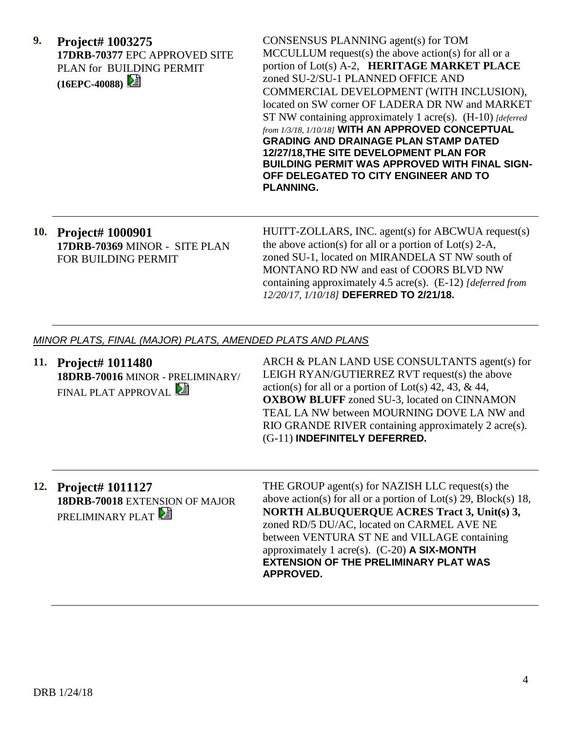**9. Project# 1003275 17DRB-70377** EPC APPROVED SITE PLAN for BUILDING PERMIT **(16EPC-40088)** 

CONSENSUS PLANNING agent(s) for TOM MCCULLUM request(s) the above action(s) for all or a portion of Lot(s) A-2, **HERITAGE MARKET PLACE** zoned SU-2/SU-1 PLANNED OFFICE AND COMMERCIAL DEVELOPMENT (WITH INCLUSION), located on SW corner OF LADERA DR NW and MARKET ST NW containing approximately 1 acre(s). (H-10) *[deferred from 1/3/18, 1/10/18]* **WITH AN APPROVED CONCEPTUAL GRADING AND DRAINAGE PLAN STAMP DATED 12/27/18,THE SITE DEVELOPMENT PLAN FOR BUILDING PERMIT WAS APPROVED WITH FINAL SIGN-OFF DELEGATED TO CITY ENGINEER AND TO PLANNING.**

## **10. Project# 1000901 17DRB-70369** MINOR - SITE PLAN FOR BUILDING PERMIT

HUITT-ZOLLARS, INC. agent(s) for ABCWUA request(s) the above action(s) for all or a portion of  $Lot(s)$  2-A, zoned SU-1, located on MIRANDELA ST NW south of MONTANO RD NW and east of COORS BLVD NW containing approximately 4.5 acre(s). (E-12) *[deferred from 12/20/17, 1/10/18]* **DEFERRED TO 2/21/18.**

### *MINOR PLATS, FINAL (MAJOR) PLATS, AMENDED PLATS AND PLANS*

- **11. Project# 1011480 18DRB-70016** MINOR - PRELIMINARY/ FINAL PLAT APPROVAL ARCH & PLAN LAND USE CONSULTANTS agent(s) for LEIGH RYAN/GUTIERREZ RVT request(s) the above action(s) for all or a portion of  $Lot(s)$  42, 43, & 44, **OXBOW BLUFF** zoned SU-3, located on CINNAMON TEAL LA NW between MOURNING DOVE LA NW and RIO GRANDE RIVER containing approximately 2 acre(s). (G-11) **INDEFINITELY DEFERRED.**
- **12. Project# 1011127 18DRB-70018** EXTENSION OF MAJOR PRELIMINARY PLAT

THE GROUP agent(s) for NAZISH LLC request(s) the above action(s) for all or a portion of  $Lot(s)$  29,  $Block(s)$  18, **NORTH ALBUQUERQUE ACRES Tract 3, Unit(s) 3,** zoned RD/5 DU/AC, located on CARMEL AVE NE between VENTURA ST NE and VILLAGE containing approximately 1 acre(s). (C-20) **A SIX-MONTH EXTENSION OF THE PRELIMINARY PLAT WAS APPROVED.**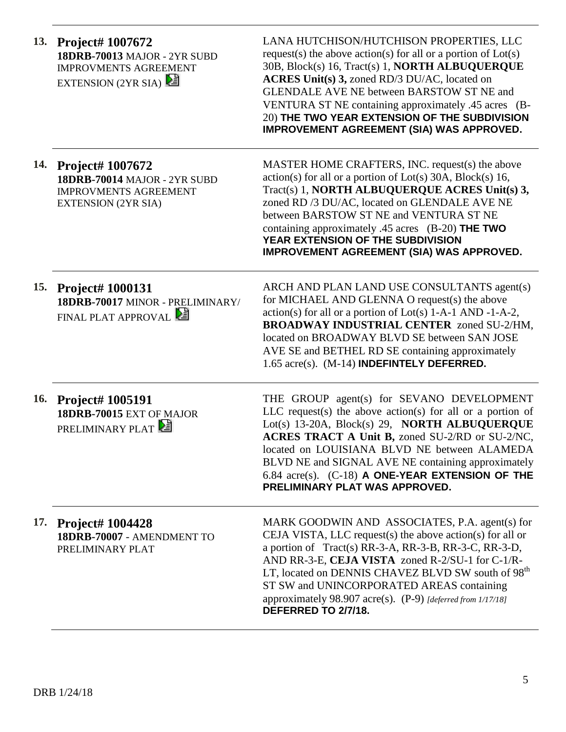| 13.        | Project# 1007672<br><b>18DRB-70013 MAJOR - 2YR SUBD</b><br><b>IMPROVMENTS AGREEMENT</b><br>EXTENSION (2YR SIA)               | LANA HUTCHISON/HUTCHISON PROPERTIES, LLC<br>request(s) the above action(s) for all or a portion of $Lot(s)$<br>30B, Block(s) 16, Tract(s) 1, <b>NORTH ALBUQUERQUE</b><br>ACRES Unit(s) 3, zoned RD/3 DU/AC, located on<br><b>GLENDALE AVE NE between BARSTOW ST NE and</b><br>VENTURA ST NE containing approximately .45 acres (B-<br>20) THE TWO YEAR EXTENSION OF THE SUBDIVISION<br>IMPROVEMENT AGREEMENT (SIA) WAS APPROVED. |
|------------|------------------------------------------------------------------------------------------------------------------------------|----------------------------------------------------------------------------------------------------------------------------------------------------------------------------------------------------------------------------------------------------------------------------------------------------------------------------------------------------------------------------------------------------------------------------------|
| 14.        | <b>Project# 1007672</b><br><b>18DRB-70014 MAJOR - 2YR SUBD</b><br><b>IMPROVMENTS AGREEMENT</b><br><b>EXTENSION (2YR SIA)</b> | MASTER HOME CRAFTERS, INC. request(s) the above<br>$action(s)$ for all or a portion of Lot(s) 30A, Block(s) 16,<br>Tract(s) 1, NORTH ALBUQUERQUE ACRES Unit(s) 3,<br>zoned RD /3 DU/AC, located on GLENDALE AVE NE<br>between BARSTOW ST NE and VENTURA ST NE<br>containing approximately .45 acres $(B-20)$ THE TWO<br>YEAR EXTENSION OF THE SUBDIVISION<br><b>IMPROVEMENT AGREEMENT (SIA) WAS APPROVED.</b>                    |
| 15.        | <b>Project# 1000131</b><br>18DRB-70017 MINOR - PRELIMINARY/<br>FINAL PLAT APPROVAL                                           | ARCH AND PLAN LAND USE CONSULTANTS agent(s)<br>for MICHAEL AND GLENNA O request(s) the above<br>$action(s)$ for all or a portion of Lot(s) 1-A-1 AND -1-A-2,<br><b>BROADWAY INDUSTRIAL CENTER zoned SU-2/HM,</b><br>located on BROADWAY BLVD SE between SAN JOSE<br>AVE SE and BETHEL RD SE containing approximately<br>1.65 acre(s). (M-14) INDEFINTELY DEFERRED.                                                               |
| <b>16.</b> | <b>Project# 1005191</b><br>18DRB-70015 EXT OF MAJOR<br><b>PRELIMINARY PLAT</b>                                               | THE GROUP agent(s) for SEVANO DEVELOPMENT<br>LLC request(s) the above action(s) for all or a portion of<br>Lot(s) 13-20A, Block(s) 29, NORTH ALBUQUERQUE<br>ACRES TRACT A Unit B, zoned SU-2/RD or SU-2/NC,<br>located on LOUISIANA BLVD NE between ALAMEDA<br>BLVD NE and SIGNAL AVE NE containing approximately<br>$6.84$ acre(s). $(C-18)$ A ONE-YEAR EXTENSION OF THE<br>PRELIMINARY PLAT WAS APPROVED.                      |
|            | 17. Project# 1004428<br>18DRB-70007 - AMENDMENT TO<br>PRELIMINARY PLAT                                                       | MARK GOODWIN AND ASSOCIATES, P.A. agent(s) for<br>CEJA VISTA, LLC request(s) the above action(s) for all or<br>a portion of Tract(s) RR-3-A, RR-3-B, RR-3-C, RR-3-D,<br>AND RR-3-E, CEJA VISTA zoned R-2/SU-1 for C-1/R-<br>LT, located on DENNIS CHAVEZ BLVD SW south of 98 <sup>th</sup><br>ST SW and UNINCORPORATED AREAS containing<br>approximately 98.907 acre(s). (P-9) [deferred from 1/17/18]<br>DEFERRED TO 2/7/18.    |